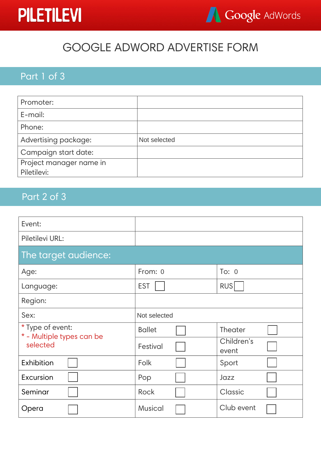## **PILETILEVI**



## GOOGLE ADWORD ADVERTISE FORM

## Part 1 of 3

| Promoter:               |              |
|-------------------------|--------------|
| E-mail:                 |              |
| Phone:                  |              |
| Advertising package:    | Not selected |
| Campaign start date:    |              |
| Project manager name in |              |
| Piletilevi:             |              |

## Part 2 of 3

| Event:                                        |                |                     |
|-----------------------------------------------|----------------|---------------------|
| Piletilevi URL:                               |                |                     |
| The target audience:                          |                |                     |
| Age:                                          | From: 0        | To: $0$             |
| Language:                                     | <b>EST</b>     | <b>RUS</b>          |
| Region:                                       |                |                     |
| Sex:                                          | Not selected   |                     |
| * Type of event:<br>* - Multiple types can be | <b>Ballet</b>  | Theater             |
| selected                                      | Festival       | Children's<br>event |
| Exhibition                                    | Folk           | Sport               |
| Excursion                                     | Pop            | Jazz                |
| Seminar                                       | <b>Rock</b>    | Classic             |
| Opera                                         | <b>Musical</b> | Club event          |